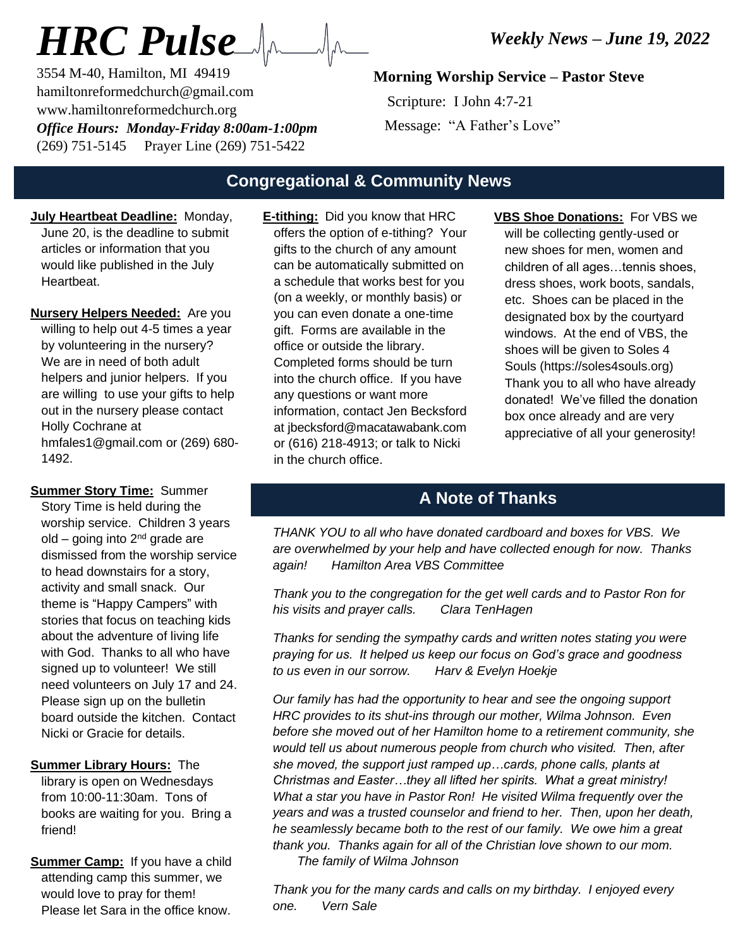# *HRC Pulse*

3554 M-40, Hamilton, MI 49419 hamiltonreformedchurch@gmail.com www.hamiltonreformedchurch.org *Office Hours: Monday-Friday 8:00am-1:00pm* (269) 751-5145 Prayer Line (269) 751-5422

# **Morning Worship Service – Pastor Steve**

 Scripture: I John 4:7-21 Message: "A Father's Love"

# **Congregational & Community News**

- **July Heartbeat Deadline:** Monday, June 20, is the deadline to submit articles or information that you would like published in the July **Heartheat**
- **Nursery Helpers Needed:** Are you willing to help out 4-5 times a year by volunteering in the nursery? We are in need of both adult helpers and junior helpers. If you are willing to use your gifts to help out in the nursery please contact Holly Cochrane at hmfales1@gmail.com or (269) 680- 1492.

**Summer Story Time:** Summer Story Time is held during the worship service. Children 3 years old – going into  $2<sup>nd</sup>$  grade are dismissed from the worship service to head downstairs for a story, activity and small snack. Our theme is "Happy Campers" with stories that focus on teaching kids about the adventure of living life with God. Thanks to all who have signed up to volunteer! We still need volunteers on July 17 and 24. Please sign up on the bulletin board outside the kitchen. Contact Nicki or Gracie for details.

#### **Summer Library Hours:** The

library is open on Wednesdays from 10:00-11:30am. Tons of books are waiting for you. Bring a friend!

**Summer Camp:** If you have a child attending camp this summer, we would love to pray for them! Please let Sara in the office know.

- **E-tithing:** Did you know that HRC offers the option of e-tithing? Your gifts to the church of any amount can be automatically submitted on a schedule that works best for you (on a weekly, or monthly basis) or you can even donate a one-time gift. Forms are available in the office or outside the library. Completed forms should be turn into the church office. If you have any questions or want more information, contact Jen Becksford at jbecksford@macatawabank.com or (616) 218-4913; or talk to Nicki in the church office.
- **VBS Shoe Donations:** For VBS we will be collecting gently-used or new shoes for men, women and children of all ages…tennis shoes, dress shoes, work boots, sandals, etc. Shoes can be placed in the designated box by the courtyard windows. At the end of VBS, the shoes will be given to Soles 4 Souls (https://soles4souls.org) Thank you to all who have already donated! We've filled the donation box once already and are very appreciative of all your generosity!

# **A Note of Thanks**

*THANK YOU to all who have donated cardboard and boxes for VBS. We are overwhelmed by your help and have collected enough for now. Thanks again! Hamilton Area VBS Committee*

*Thank you to the congregation for the get well cards and to Pastor Ron for his visits and prayer calls. Clara TenHagen*

*Thanks for sending the sympathy cards and written notes stating you were praying for us. It helped us keep our focus on God's grace and goodness to us even in our sorrow. Harv & Evelyn Hoekje*

*Our family has had the opportunity to hear and see the ongoing support HRC provides to its shut-ins through our mother, Wilma Johnson. Even before she moved out of her Hamilton home to a retirement community, she would tell us about numerous people from church who visited. Then, after she moved, the support just ramped up…cards, phone calls, plants at Christmas and Easter…they all lifted her spirits. What a great ministry! What a star you have in Pastor Ron! He visited Wilma frequently over the years and was a trusted counselor and friend to her. Then, upon her death, he seamlessly became both to the rest of our family. We owe him a great thank you. Thanks again for all of the Christian love shown to our mom. The family of Wilma Johnson*

*Thank you for the many cards and calls on my birthday. I enjoyed every one. Vern Sale*